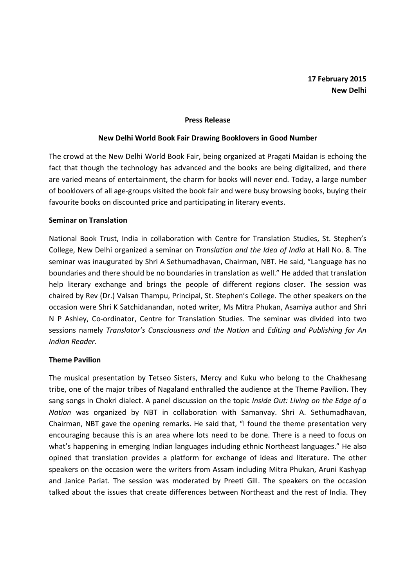#### Press Release

### New Delhi World Book Fair Drawing Booklovers in Good Number

The crowd at the New Delhi World Book Fair, being organized at Pragati Maidan is echoing the fact that though the technology has advanced and the books are being digitalized, and there are varied means of entertainment, the charm for books will never end. Today, a large number of booklovers of all age-groups visited the book fair and were busy browsing books, buying their favourite books on discounted price and participating in literary events.

# Seminar on Translation

National Book Trust, India in collaboration with Centre for Translation Studies, St. Stephen's College, New Delhi organized a seminar on Translation and the Idea of India at Hall No. 8. The seminar was inaugurated by Shri A Sethumadhavan, Chairman, NBT. He said, "Language has no boundaries and there should be no boundaries in translation as well." He added that translation help literary exchange and brings the people of different regions closer. The session was chaired by Rev (Dr.) Valsan Thampu, Principal, St. Stephen's College. The other speakers on the occasion were Shri K Satchidanandan, noted writer, Ms Mitra Phukan, Asamiya author and Shri N P Ashley, Co-ordinator, Centre for Translation Studies. The seminar was divided into two sessions namely Translator's Consciousness and the Nation and Editing and Publishing for An Indian Reader.

# Theme Pavilion

The musical presentation by Tetseo Sisters, Mercy and Kuku who belong to the Chakhesang tribe, one of the major tribes of Nagaland enthralled the audience at the Theme Pavilion. They sang songs in Chokri dialect. A panel discussion on the topic *Inside Out: Living on the Edge of a* Nation was organized by NBT in collaboration with Samanvay. Shri A. Sethumadhavan, Chairman, NBT gave the opening remarks. He said that, "I found the theme presentation very encouraging because this is an area where lots need to be done. There is a need to focus on what's happening in emerging Indian languages including ethnic Northeast languages." He also opined that translation provides a platform for exchange of ideas and literature. The other speakers on the occasion were the writers from Assam including Mitra Phukan, Aruni Kashyap and Janice Pariat. The session was moderated by Preeti Gill. The speakers on the occasion talked about the issues that create differences between Northeast and the rest of India. They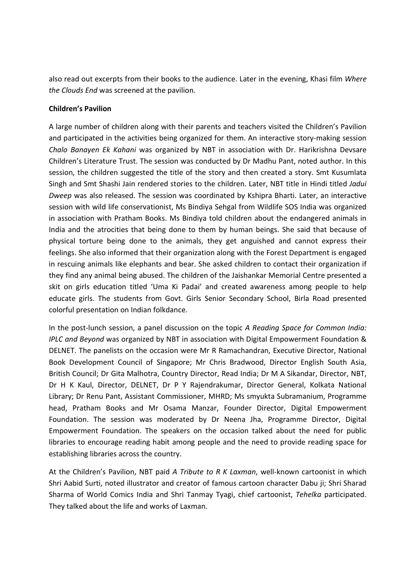also read out excerpts from their books to the audience. Later in the evening, Khasi film Where the Clouds End was screened at the pavilion.

## Children's Pavilion

A large number of children along with their parents and teachers visited the Children's Pavilion and participated in the activities being organized for them. An interactive story-making session Chalo Banayen Ek Kahani was organized by NBT in association with Dr. Harikrishna Devsare Children's Literature Trust. The session was conducted by Dr Madhu Pant, noted author. In this session, the children suggested the title of the story and then created a story. Smt Kusumlata Singh and Smt Shashi Jain rendered stories to the children. Later, NBT title in Hindi titled Jadui Dweep was also released. The session was coordinated by Kshipra Bharti. Later, an interactive session with wild life conservationist, Ms Bindiya Sehgal from Wildlife SOS India was organized in association with Pratham Books. Ms Bindiya told children about the endangered animals in India and the atrocities that being done to them by human beings. She said that because of physical torture being done to the animals, they get anguished and cannot express their feelings. She also informed that their organization along with the Forest Department is engaged in rescuing animals like elephants and bear. She asked children to contact their organization if they find any animal being abused. The children of the Jaishankar Memorial Centre presented a skit on girls education titled 'Uma Ki Padai' and created awareness among people to help educate girls. The students from Govt. Girls Senior Secondary School, Birla Road presented colorful presentation on Indian folkdance.

In the post-lunch session, a panel discussion on the topic A Reading Space for Common India: IPLC and Beyond was organized by NBT in association with Digital Empowerment Foundation & DELNET. The panelists on the occasion were Mr R Ramachandran, Executive Director, National Book Development Council of Singapore; Mr Chris Bradwood, Director English South Asia, British Council; Dr Gita Malhotra, Country Director, Read India; Dr M A Sikandar, Director, NBT, Dr H K Kaul, Director, DELNET, Dr P Y Rajendrakumar, Director General, Kolkata National Library; Dr Renu Pant, Assistant Commissioner, MHRD; Ms smyukta Subramanium, Programme head, Pratham Books and Mr Osama Manzar, Founder Director, Digital Empowerment Foundation. The session was moderated by Dr Neena Jha, Programme Director, Digital Empowerment Foundation. The speakers on the occasion talked about the need for public libraries to encourage reading habit among people and the need to provide reading space for establishing libraries across the country.

At the Children's Pavilion, NBT paid A Tribute to R K Laxman, well-known cartoonist in which Shri Aabid Surti, noted illustrator and creator of famous cartoon character Dabu ji; Shri Sharad Sharma of World Comics India and Shri Tanmay Tyagi, chief cartoonist, Tehelka participated. They talked about the life and works of Laxman.